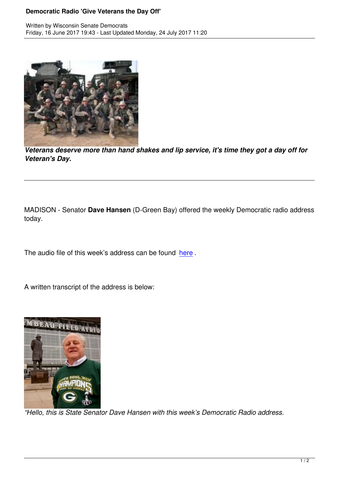

*Veterans deserve more than hand shakes and lip service, it's time they got a day off for Veteran's Day.*

MADISON - Senator **Dave Hansen** (D-Green Bay) offered the weekly Democratic radio address today.

The audio file of this week's address can be found here.

A written transcript of the address is below:



*"Hello, this is State Senator Dave Hansen with this week's Democratic Radio address.*